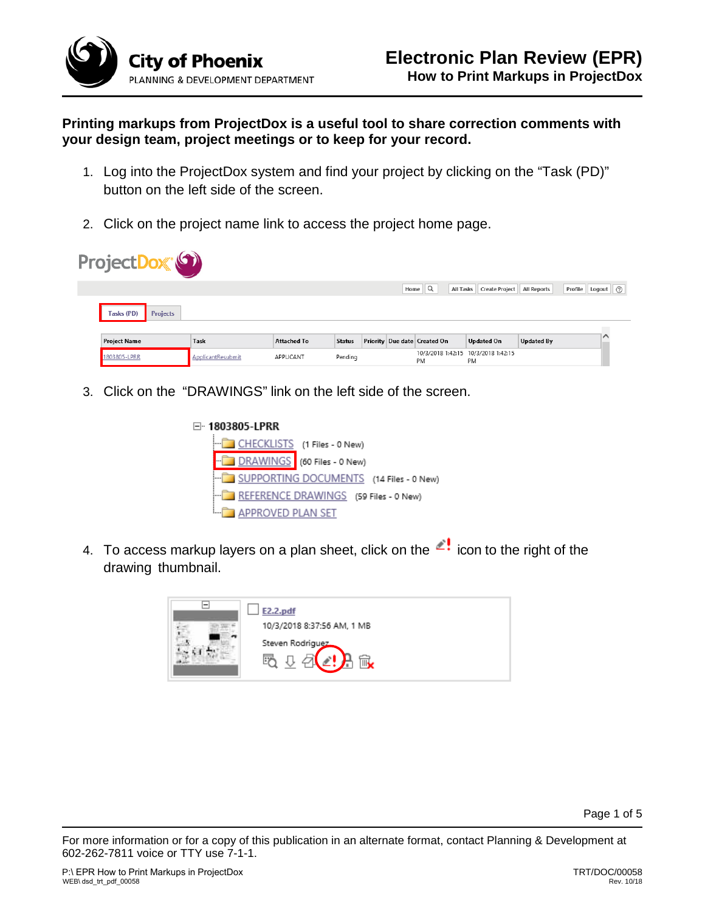

**Printing markups from ProjectDox is a useful tool to share correction comments with your design team, project meetings or to keep for your record.**

- 1. Log into the ProjectDox system and find your project by clicking on the "Task (PD)" button on the left side of the screen.
- 2. Click on the project name link to access the project home page.



3. Click on the "DRAWINGS" link on the left side of the screen.

| ⊟ <sup></sup> 1803805-LPRR |                                         |
|----------------------------|-----------------------------------------|
| ե…∣                        | CHECKLISTS (1 Files - 0 New)            |
|                            | DRAWINGS (60 Files - 0 New)             |
|                            | SUPPORTING DOCUMENTS (14 Files - 0 New) |
|                            | REFERENCE DRAWINGS (59 Files - 0 New)   |
| APPROVED PLAN SET          |                                         |

4. To access markup layers on a plan sheet, click on the  $\leq$  icon to the right of the drawing thumbnail.



Page 1 of 5

For more information or for a copy of this publication in an alternate format, contact Planning & Development at 602-262-7811 voice or TTY use 7-1-1.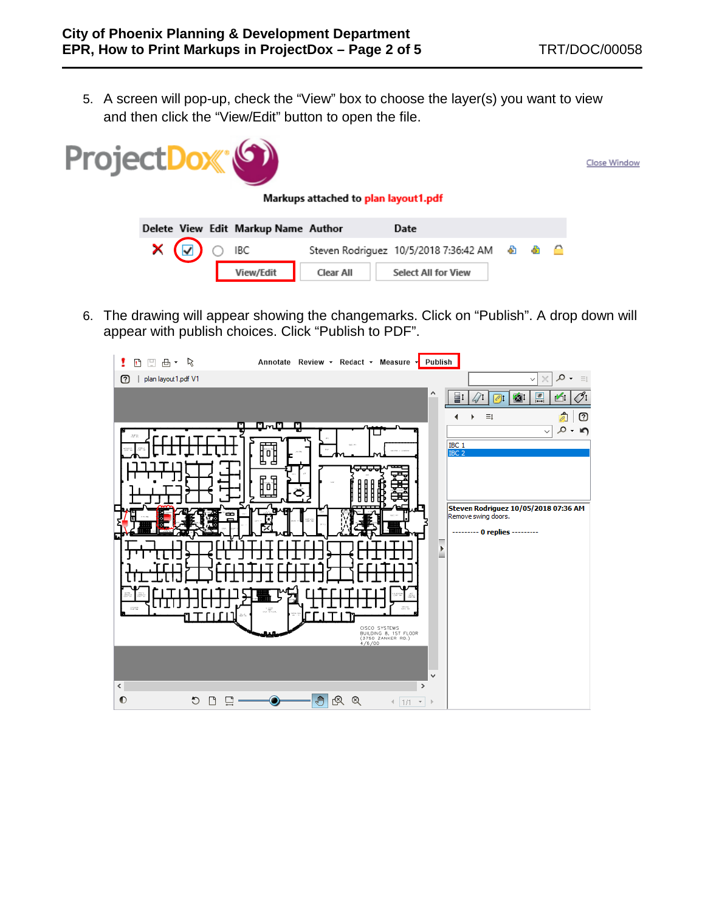5. A screen will pop-up, check the "View" box to choose the layer(s) you want to view and then click the "View/Edit" button to open the file.



6. The drawing will appear showing the changemarks. Click on "Publish". A drop down will appear with publish choices. Click "Publish to PDF".

| 日田田・R<br>1                | Annotate Review - Redact - Measure - Publish                          |               |                                                      |
|---------------------------|-----------------------------------------------------------------------|---------------|------------------------------------------------------|
| plan layout 1.pdf V1<br>ඔ |                                                                       |               | $\circ$ .<br>$\times$<br>$\equiv$<br>$\checkmark$    |
|                           |                                                                       | ۸             | $\frac{*}{1}$<br>틀<br>14                             |
|                           | n∽u<br>п                                                              |               | $\equiv\downarrow$<br>ඔ<br>$\overline{\mathscr{E}}$  |
|                           |                                                                       |               | $\circ$<br>$\blacksquare$<br>$\star$<br>$\checkmark$ |
|                           | <b>MARKET AWAY</b><br>凹                                               |               | $\frac{\text{IBC 1}}{\text{IBC 2}}$                  |
|                           |                                                                       |               |                                                      |
|                           | 'n<br>F                                                               |               |                                                      |
|                           |                                                                       |               | Steven Rodriguez 10/05/2018 07:36 AM                 |
| œ                         |                                                                       |               | Remove swing doors.                                  |
|                           |                                                                       |               | --------- 0 replies ---------<br>▬                   |
|                           |                                                                       |               | Þ<br>⋍                                               |
|                           |                                                                       |               |                                                      |
|                           |                                                                       |               |                                                      |
| $^{+0.0000}_{-0.00000}$   | 周性<br>$\begin{array}{c} 1.1487 \\ 0.047 \\ 0.043 \end{array}$         |               |                                                      |
|                           |                                                                       |               |                                                      |
|                           | CISCO SYSTEMS<br>BUILDING 8, 1ST FLOOR<br>(3750 ZANKER RD.)<br>4/6/00 |               |                                                      |
|                           |                                                                       |               |                                                      |
|                           |                                                                       | v             |                                                      |
| $\leq$                    |                                                                       | $\rightarrow$ |                                                      |
| $\bullet$<br>ి<br>Ľ       | G<br>図<br>$^{\circledR}$                                              | $4  1/1 - r $ |                                                      |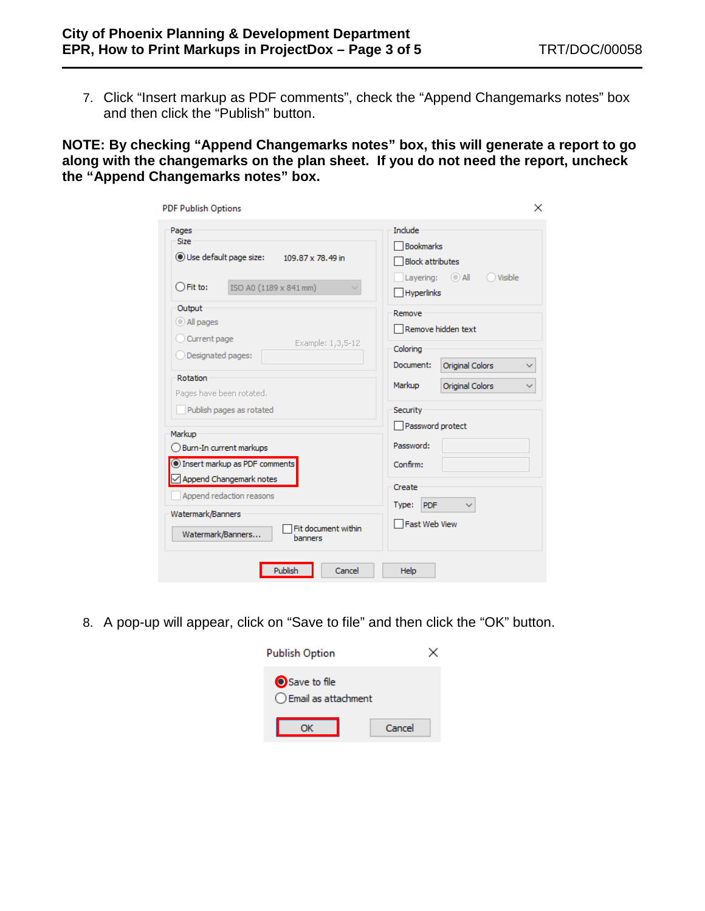7. Click "Insert markup as PDF comments", check the "Append Changemarks notes" box and then click the "Publish" button.

**NOTE: By checking "Append Changemarks notes" box, this will generate a report to go along with the changemarks on the plan sheet. If you do not need the report, uncheck the "Append Changemarks notes" box.**

| Pages<br><b>Size</b>                                | Include<br><b>Bookmarks</b>                              |
|-----------------------------------------------------|----------------------------------------------------------|
| Use default page size:<br>109.87 x 78.49 in         | <b>Block attributes</b>                                  |
| $\bigcirc$ Fit to:<br>ISO A0 (1189 x 841 mm)        | Layering: $\bigcirc$ All<br>Visible<br><b>Hyperlinks</b> |
| Output                                              | Remove                                                   |
| All pages                                           | Remove hidden text                                       |
| Current page<br>Example: 1,3,5-12                   | Coloring                                                 |
| Designated pages:                                   | Document:<br>Original Colors<br>$\checkmark$             |
| Rotation<br>Pages have been rotated.                | Markup<br><b>Original Colors</b><br>$\checkmark$         |
| Publish pages as rotated                            | Security                                                 |
| Markup                                              | Password protect                                         |
| Burn-In current markups                             | Password:                                                |
| Insert markup as PDF comments                       | Confirm:                                                 |
| √ Append Changemark notes                           | Create                                                   |
| Append redaction reasons                            | <b>PDF</b><br>Type:                                      |
| Watermark/Banners                                   | Fast Web View                                            |
| Fit document within<br>Watermark/Banners<br>hanners |                                                          |

8. A pop-up will appear, click on "Save to file" and then click the "OK" button.

| <b>Publish Option</b>                 |        |
|---------------------------------------|--------|
| Save to file<br>◯ Email as attachment |        |
|                                       | Cancel |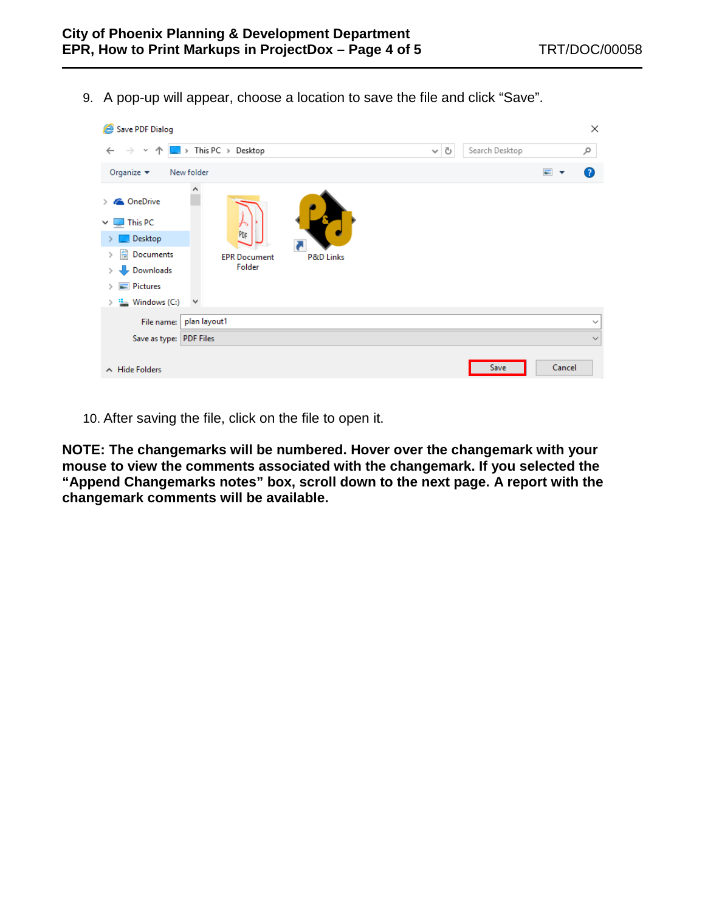9. A pop-up will appear, choose a location to save the file and click "Save".



10. After saving the file, click on the file to open it.

**NOTE: The changemarks will be numbered. Hover over the changemark with your mouse to view the comments associated with the changemark. If you selected the "Append Changemarks notes" box, scroll down to the next page. A report with the changemark comments will be available.**